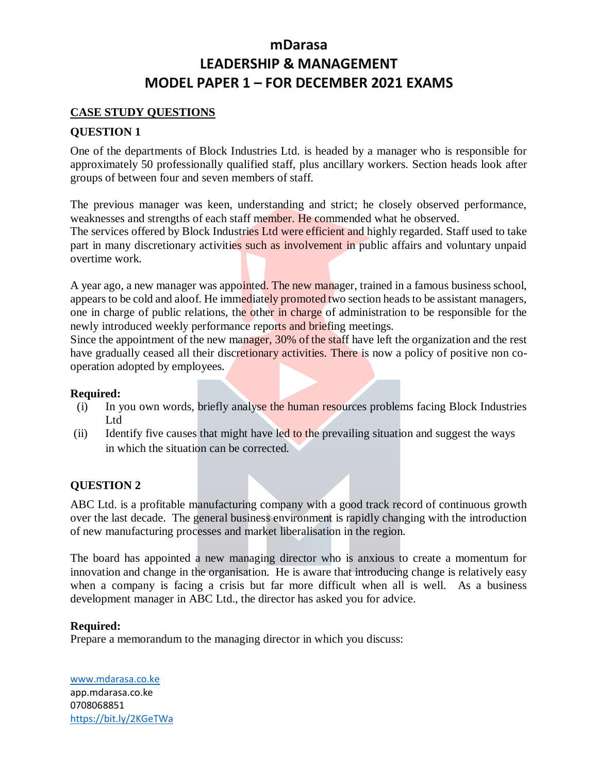### **CASE STUDY QUESTIONS**

## **QUESTION 1**

One of the departments of Block Industries Ltd. is headed by a manager who is responsible for approximately 50 professionally qualified staff, plus ancillary workers. Section heads look after groups of between four and seven members of staff.

The previous manager was keen, understanding and strict; he closely observed performance, weaknesses and strengths of each staff member. He commended what he observed.

The services offered by Block Industries Ltd were efficient and highly regarded. Staff used to take part in many discretionary activities such as involvement in public affairs and voluntary unpaid overtime work.

A year ago, a new manager was appointed. The new manager, trained in a famous business school, appears to be cold and aloof. He immediately promoted two section heads to be assistant managers, one in charge of public relations, the other in charge of administration to be responsible for the newly introduced weekly performance reports and briefing meetings.

Since the appointment of the new manager, 30% of the staff have left the organization and the rest have gradually ceased all their discretionary activities. There is now a policy of positive non cooperation adopted by employees.

### **Required:**

- (i) In you own words, briefly analyse the human resources problems facing Block Industries Ltd
- (ii) Identify five causes that might have led to the prevailing situation and suggest the ways in which the situation can be corrected.

### **QUESTION 2**

ABC Ltd. is a profitable manufacturing company with a good track record of continuous growth over the last decade. The general business environment is rapidly changing with the introduction of new manufacturing processes and market liberalisation in the region.

The board has appointed a new managing director who is anxious to create a momentum for innovation and change in the organisation. He is aware that introducing change is relatively easy when a company is facing a crisis but far more difficult when all is well. As a business development manager in ABC Ltd., the director has asked you for advice.

### **Required:**

Prepare a memorandum to the managing director in which you discuss:

[www.mdarasa.co.ke](http://www.mdarasa.co.ke/) app.mdarasa.co.ke 0708068851 <https://bit.ly/2KGeTWa>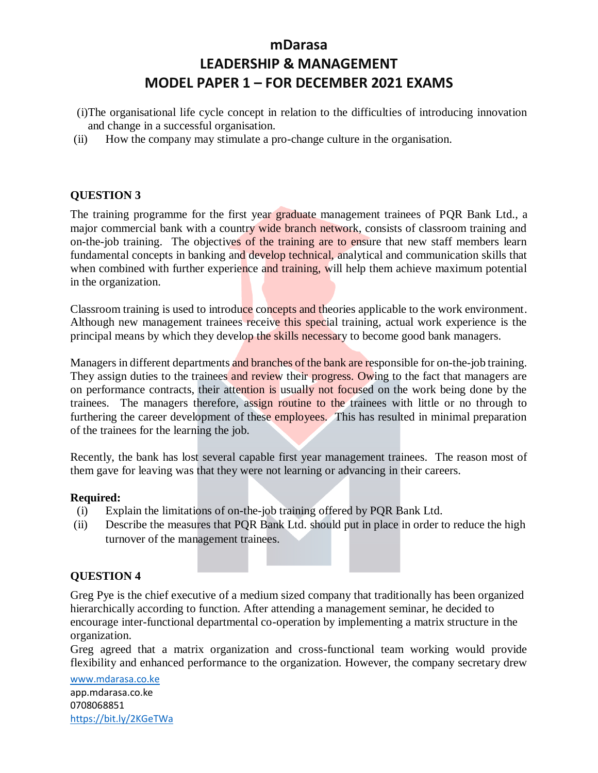- (i)The organisational life cycle concept in relation to the difficulties of introducing innovation and change in a successful organisation.
- (ii) How the company may stimulate a pro-change culture in the organisation.

#### **QUESTION 3**

The training programme for the first year graduate management trainees of PQR Bank Ltd., a major commercial bank with a country wide branch network, consists of classroom training and on-the-job training. The objectives of the training are to ensure that new staff members learn fundamental concepts in banking and develop technical, analytical and communication skills that when combined with further experience and training, will help them achieve maximum potential in the organization.

Classroom training is used to introduce concepts and theories applicable to the work environment. Although new management trainees receive this special training, actual work experience is the principal means by which they develop the skills necessary to become good bank managers.

Managers in different departments and branches of the bank are responsible for on-the-job training. They assign duties to the trainees and review their progress. Owing to the fact that managers are on performance contracts, their attention is usually not focused on the work being done by the trainees. The managers therefore, assign routine to the trainees with little or no through to furthering the career development of these employees. This has resulted in minimal preparation of the trainees for the learning the job.

Recently, the bank has lost several capable first year management trainees. The reason most of them gave for leaving was that they were not learning or advancing in their careers.

#### **Required:**

- (i) Explain the limitations of on-the-job training offered by PQR Bank Ltd.
- (ii) Describe the measures that PQR Bank Ltd. should put in place in order to reduce the high turnover of the management trainees.

#### **QUESTION 4**

Greg Pye is the chief executive of a medium sized company that traditionally has been organized hierarchically according to function. After attending a management seminar, he decided to encourage inter-functional departmental co-operation by implementing a matrix structure in the organization.

Greg agreed that a matrix organization and cross-functional team working would provide flexibility and enhanced performance to the organization. However, the company secretary drew

[www.mdarasa.co.ke](http://www.mdarasa.co.ke/) app.mdarasa.co.ke 0708068851 <https://bit.ly/2KGeTWa>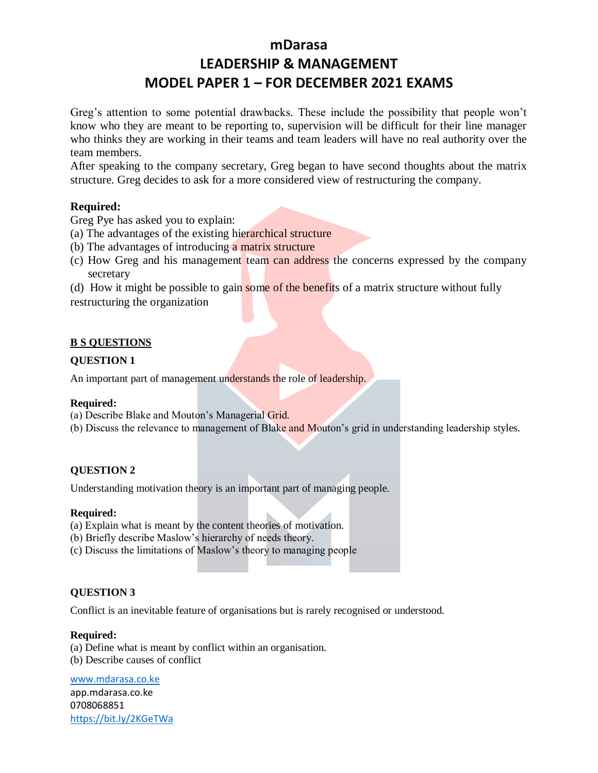Greg's attention to some potential drawbacks. These include the possibility that people won't know who they are meant to be reporting to, supervision will be difficult for their line manager who thinks they are working in their teams and team leaders will have no real authority over the team members.

After speaking to the company secretary, Greg began to have second thoughts about the matrix structure. Greg decides to ask for a more considered view of restructuring the company.

#### **Required:**

Greg Pye has asked you to explain:

(a) The advantages of the existing hierarchical structure

- (b) The advantages of introducing a matrix structure
- (c) How Greg and his management team can address the concerns expressed by the company secretary

(d) How it might be possible to gain some of the benefits of a matrix structure without fully

restructuring the organization

#### **B S QUESTIONS**

#### **QUESTION 1**

An important part of management understands the role of leadership.

#### **Required:**

(a) Describe Blake and Mouton's Managerial Grid.

(b) Discuss the relevance to management of Blake and Mouton's grid in understanding leadership styles.

#### **QUESTION 2**

Understanding motivation theory is an important part of managing people.

#### **Required:**

(a) Explain what is meant by the content theories of motivation.

- (b) Briefly describe Maslow's hierarchy of needs theory.
- (c) Discuss the limitations of Maslow's theory to managing people

#### **QUESTION 3**

Conflict is an inevitable feature of organisations but is rarely recognised or understood.

#### **Required:**

(a) Define what is meant by conflict within an organisation. (b) Describe causes of conflict

[www.mdarasa.co.ke](http://www.mdarasa.co.ke/)

app.mdarasa.co.ke 0708068851 <https://bit.ly/2KGeTWa>